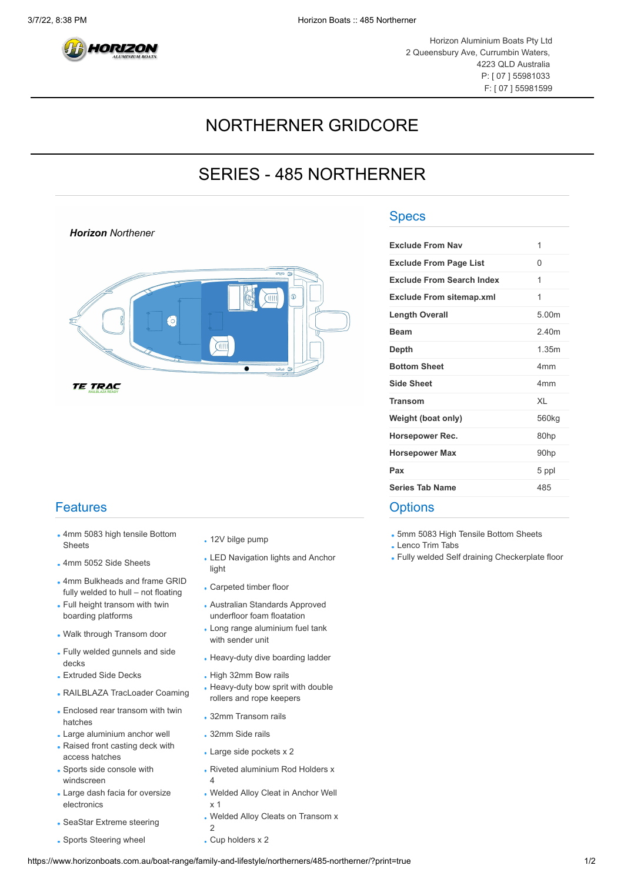

**Horizon** Northener

## NORTHERNER GRIDCORE

## SERIES - 485 NORTHERNER



**TE TRAC** 

## **Features**

- 4mm 5083 high tensile Bottom Affirm 5063 high tensile bottom<br>Sheets **12V** bilge pump
- 
- 4mm Bulkheads and frame GRID Fully welded to hull – not floating Carpeted timber floor
- Full height transom with twin boarding platforms
- 
- Fully welded gunnels and side rully welded guilliels and side<br>Reavy-duty dive boarding ladder
- 
- 
- Enclosed rear transom with twin Enclosed real transom with twill . 32mm Transom rails<br>hatches
- . Large aluminium anchor well . 32mm Side rails
- Raised front casting deck with Access hatches access hatches
- Sports side console with windscreen
- Large dash facia for oversize electronics
- SeaStar Extreme steering Welded Alloy Cleats on Transom x
- Sports Steering wheel **Cup holders x 2**
- 
- 4mm 5052 Side Sheets LED Navigation lights and Anchor light
	-
	- Australian Standards Approved underfloor foam floatation
- **Walk through Transom door** Long range aluminium fuel tank with sender unit
	-
- . Extruded Side Decks . High 32mm Bow rails
- RAILBLAZA TracLoader Coaming Heavy-duty bow sprit with double rollers and rope keepers
	-
	-
	-
	- Riveted aluminium Rod Holders x 4
	- Welded Alloy Cleat in Anchor Well
	- x 1
	- 2
	-

## **Specs**

| <b>Exclude From Nav</b>         | 1                 |
|---------------------------------|-------------------|
| <b>Exclude From Page List</b>   | 0                 |
| Exclude From Search Index       | 1                 |
| <b>Exclude From sitemap.xml</b> | 1                 |
| Length Overall                  | 5.00m             |
| <b>Beam</b>                     | 240m              |
| Depth                           | 1 35m             |
| <b>Bottom Sheet</b>             | 4 <sub>mm</sub>   |
| <b>Side Sheet</b>               | 4 <sub>mm</sub>   |
| <b>Transom</b>                  | XI                |
| Weight (boat only)              | 560 <sub>kg</sub> |
| Horsepower Rec.                 | 80hp              |
| <b>Horsepower Max</b>           | 90hp              |
| Pax                             | 5 ppl             |
| <b>Series Tab Name</b>          | 485               |
|                                 |                   |

**Options** 

5mm 5083 High Tensile Bottom Sheets

Lenco Trim Tabs

Fully welded Self draining Checkerplate floor